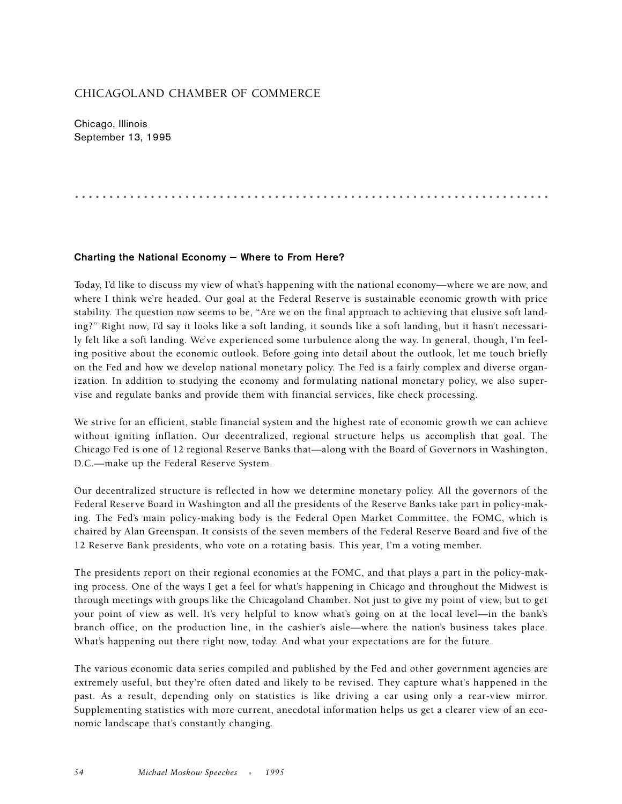## CHICAGOLAND CHAMBER OF COMMERCE

Chicago, Illinois September 13, 1995

.....................................................................

## **Charting the National Economy — Where to From Here?**

Today, I'd like to discuss my view of what's happening with the national economy—where we are now, and where I think we're headed. Our goal at the Federal Reserve is sustainable economic growth with price stability. The question now seems to be, "Are we on the final approach to achieving that elusive soft landing?" Right now, I'd say it looks like a soft landing, it sounds like a soft landing, but it hasn't necessarily felt like a soft landing. We've experienced some turbulence along the way. In general, though, I'm feeling positive about the economic outlook. Before going into detail about the outlook, let me touch briefly on the Fed and how we develop national monetary policy. The Fed is a fairly complex and diverse organization. In addition to studying the economy and formulating national monetary policy, we also supervise and regulate banks and provide them with financial services, like check processing.

We strive for an efficient, stable financial system and the highest rate of economic growth we can achieve without igniting inflation. Our decentralized, regional structure helps us accomplish that goal. The Chicago Fed is one of 12 regional Reserve Banks that—along with the Board of Governors in Washington, D.C.—make up the Federal Reserve System.

Our decentralized structure is reflected in how we determine monetary policy. All the governors of the Federal Reserve Board in Washington and all the presidents of the Reserve Banks take part in policy-making. The Fed's main policy-making body is the Federal Open Market Committee, the FOMC, which is chaired by Alan Greenspan. It consists of the seven members of the Federal Reserve Board and five of the 12 Reserve Bank presidents, who vote on a rotating basis. This year, I'm a voting member.

The presidents report on their regional economies at the FOMC, and that plays a part in the policy-making process. One of the ways I get a feel for what's happening in Chicago and throughout the Midwest is through meetings with groups like the Chicagoland Chamber. Not just to give my point of view, but to get your point of view as well. It's very helpful to know what's going on at the local level—in the bank's branch office, on the production line, in the cashier's aisle—where the nation's business takes place. What's happening out there right now, today. And what your expectations are for the future.

The various economic data series compiled and published by the Fed and other government agencies are extremely useful, but they're often dated and likely to be revised. They capture what's happened in the past. As a result, depending only on statistics is like driving a car using only a rear-view mirror. Supplementing statistics with more current, anecdotal information helps us get a clearer view of an economic landscape that's constantly changing.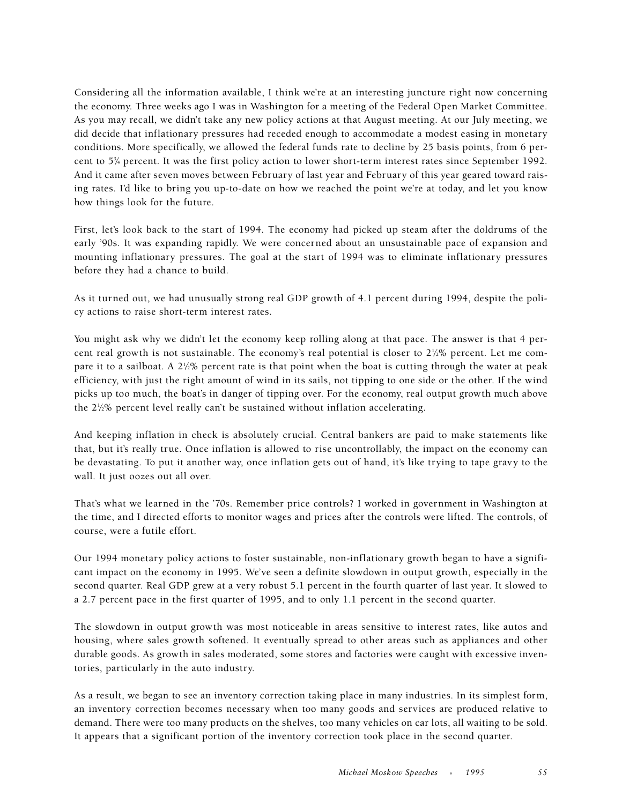Considering all the information available, I think we're at an interesting juncture right now concerning the economy. Three weeks ago I was in Washington for a meeting of the Federal Open Market Committee. As you may recall, we didn't take any new policy actions at that August meeting. At our July meeting, we did decide that inflationary pressures had receded enough to accommodate a modest easing in monetary conditions. More specifically, we allowed the federal funds rate to decline by 25 basis points, from 6 percent to 53 ⁄4 percent. It was the first policy action to lower short-term interest rates since September 1992. And it came after seven moves between February of last year and February of this year geared toward raising rates. I'd like to bring you up-to-date on how we reached the point we're at today, and let you know how things look for the future.

First, let's look back to the start of 1994. The economy had picked up steam after the doldrums of the early '90s. It was expanding rapidly. We were concerned about an unsustainable pace of expansion and mounting inflationary pressures. The goal at the start of 1994 was to eliminate inflationary pressures before they had a chance to build.

As it turned out, we had unusually strong real GDP growth of 4.1 percent during 1994, despite the policy actions to raise short-term interest rates.

You might ask why we didn't let the economy keep rolling along at that pace. The answer is that 4 percent real growth is not sustainable. The economy's real potential is closer to  $2\frac{1}{2}\%$  percent. Let me compare it to a sailboat. A 2½% percent rate is that point when the boat is cutting through the water at peak efficiency, with just the right amount of wind in its sails, not tipping to one side or the other. If the wind picks up too much, the boat's in danger of tipping over. For the economy, real output growth much above the 21 ⁄2% percent level really can't be sustained without inflation accelerating.

And keeping inflation in check is absolutely crucial. Central bankers are paid to make statements like that, but it's really true. Once inflation is allowed to rise uncontrollably, the impact on the economy can be devastating. To put it another way, once inflation gets out of hand, it's like trying to tape gravy to the wall. It just oozes out all over.

That's what we learned in the '70s. Remember price controls? I worked in government in Washington at the time, and I directed efforts to monitor wages and prices after the controls were lifted. The controls, of course, were a futile effort.

Our 1994 monetary policy actions to foster sustainable, non-inflationary growth began to have a significant impact on the economy in 1995. We've seen a definite slowdown in output growth, especially in the second quarter. Real GDP grew at a very robust 5.1 percent in the fourth quarter of last year. It slowed to a 2.7 percent pace in the first quarter of 1995, and to only 1.1 percent in the second quarter.

The slowdown in output growth was most noticeable in areas sensitive to interest rates, like autos and housing, where sales growth softened. It eventually spread to other areas such as appliances and other durable goods. As growth in sales moderated, some stores and factories were caught with excessive inventories, particularly in the auto industry.

As a result, we began to see an inventory correction taking place in many industries. In its simplest form, an inventory correction becomes necessary when too many goods and services are produced relative to demand. There were too many products on the shelves, too many vehicles on car lots, all waiting to be sold. It appears that a significant portion of the inventory correction took place in the second quarter.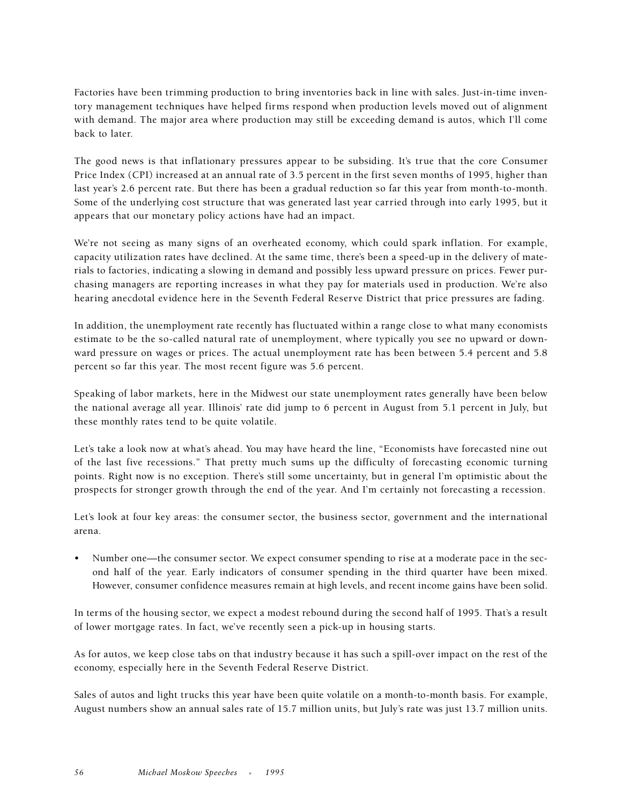Factories have been trimming production to bring inventories back in line with sales. Just-in-time inventory management techniques have helped firms respond when production levels moved out of alignment with demand. The major area where production may still be exceeding demand is autos, which I'll come back to later.

The good news is that inflationary pressures appear to be subsiding. It's true that the core Consumer Price Index (CPI) increased at an annual rate of 3.5 percent in the first seven months of 1995, higher than last year's 2.6 percent rate. But there has been a gradual reduction so far this year from month-to-month. Some of the underlying cost structure that was generated last year carried through into early 1995, but it appears that our monetary policy actions have had an impact.

We're not seeing as many signs of an overheated economy, which could spark inflation. For example, capacity utilization rates have declined. At the same time, there's been a speed-up in the delivery of materials to factories, indicating a slowing in demand and possibly less upward pressure on prices. Fewer purchasing managers are reporting increases in what they pay for materials used in production. We're also hearing anecdotal evidence here in the Seventh Federal Reserve District that price pressures are fading.

In addition, the unemployment rate recently has fluctuated within a range close to what many economists estimate to be the so-called natural rate of unemployment, where typically you see no upward or downward pressure on wages or prices. The actual unemployment rate has been between 5.4 percent and 5.8 percent so far this year. The most recent figure was 5.6 percent.

Speaking of labor markets, here in the Midwest our state unemployment rates generally have been below the national average all year. Illinois' rate did jump to 6 percent in August from 5.1 percent in July, but these monthly rates tend to be quite volatile.

Let's take a look now at what's ahead. You may have heard the line, "Economists have forecasted nine out of the last five recessions." That pretty much sums up the difficulty of forecasting economic turning points. Right now is no exception. There's still some uncertainty, but in general I'm optimistic about the prospects for stronger growth through the end of the year. And I'm certainly not forecasting a recession.

Let's look at four key areas: the consumer sector, the business sector, government and the international arena.

• Number one—the consumer sector. We expect consumer spending to rise at a moderate pace in the second half of the year. Early indicators of consumer spending in the third quarter have been mixed. However, consumer confidence measures remain at high levels, and recent income gains have been solid.

In terms of the housing sector, we expect a modest rebound during the second half of 1995. That's a result of lower mortgage rates. In fact, we've recently seen a pick-up in housing starts.

As for autos, we keep close tabs on that industry because it has such a spill-over impact on the rest of the economy, especially here in the Seventh Federal Reserve District.

Sales of autos and light trucks this year have been quite volatile on a month-to-month basis. For example, August numbers show an annual sales rate of 15.7 million units, but July's rate was just 13.7 million units.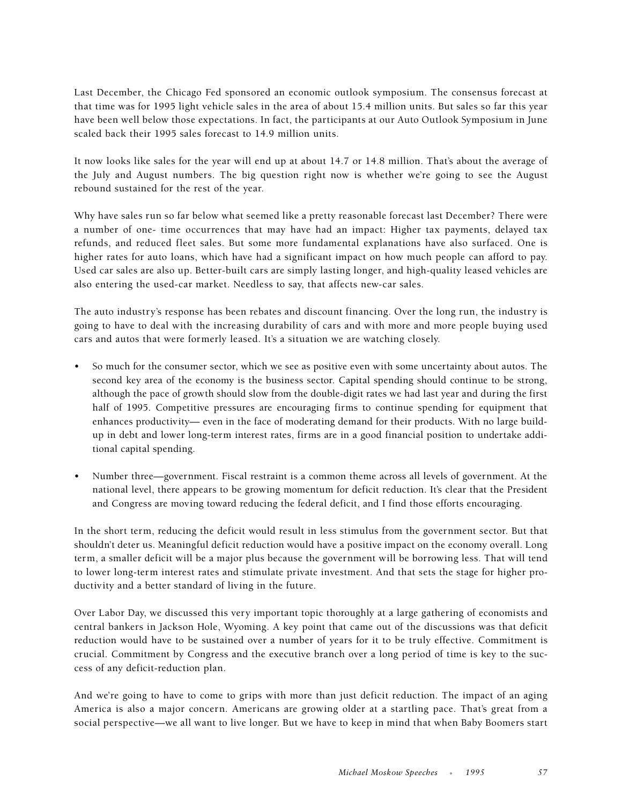Last December, the Chicago Fed sponsored an economic outlook symposium. The consensus forecast at that time was for 1995 light vehicle sales in the area of about 15.4 million units. But sales so far this year have been well below those expectations. In fact, the participants at our Auto Outlook Symposium in June scaled back their 1995 sales forecast to 14.9 million units.

It now looks like sales for the year will end up at about 14.7 or 14.8 million. That's about the average of the July and August numbers. The big question right now is whether we're going to see the August rebound sustained for the rest of the year.

Why have sales run so far below what seemed like a pretty reasonable forecast last December? There were a number of one- time occurrences that may have had an impact: Higher tax payments, delayed tax refunds, and reduced fleet sales. But some more fundamental explanations have also surfaced. One is higher rates for auto loans, which have had a significant impact on how much people can afford to pay. Used car sales are also up. Better-built cars are simply lasting longer, and high-quality leased vehicles are also entering the used-car market. Needless to say, that affects new-car sales.

The auto industry's response has been rebates and discount financing. Over the long run, the industry is going to have to deal with the increasing durability of cars and with more and more people buying used cars and autos that were formerly leased. It's a situation we are watching closely.

- So much for the consumer sector, which we see as positive even with some uncertainty about autos. The second key area of the economy is the business sector. Capital spending should continue to be strong, although the pace of growth should slow from the double-digit rates we had last year and during the first half of 1995. Competitive pressures are encouraging firms to continue spending for equipment that enhances productivity— even in the face of moderating demand for their products. With no large buildup in debt and lower long-term interest rates, firms are in a good financial position to undertake additional capital spending.
- Number three—government. Fiscal restraint is a common theme across all levels of government. At the national level, there appears to be growing momentum for deficit reduction. It's clear that the President and Congress are moving toward reducing the federal deficit, and I find those efforts encouraging.

In the short term, reducing the deficit would result in less stimulus from the government sector. But that shouldn't deter us. Meaningful deficit reduction would have a positive impact on the economy overall. Long term, a smaller deficit will be a major plus because the government will be borrowing less. That will tend to lower long-term interest rates and stimulate private investment. And that sets the stage for higher productivity and a better standard of living in the future.

Over Labor Day, we discussed this very important topic thoroughly at a large gathering of economists and central bankers in Jackson Hole, Wyoming. A key point that came out of the discussions was that deficit reduction would have to be sustained over a number of years for it to be truly effective. Commitment is crucial. Commitment by Congress and the executive branch over a long period of time is key to the success of any deficit-reduction plan.

And we're going to have to come to grips with more than just deficit reduction. The impact of an aging America is also a major concern. Americans are growing older at a startling pace. That's great from a social perspective—we all want to live longer. But we have to keep in mind that when Baby Boomers start